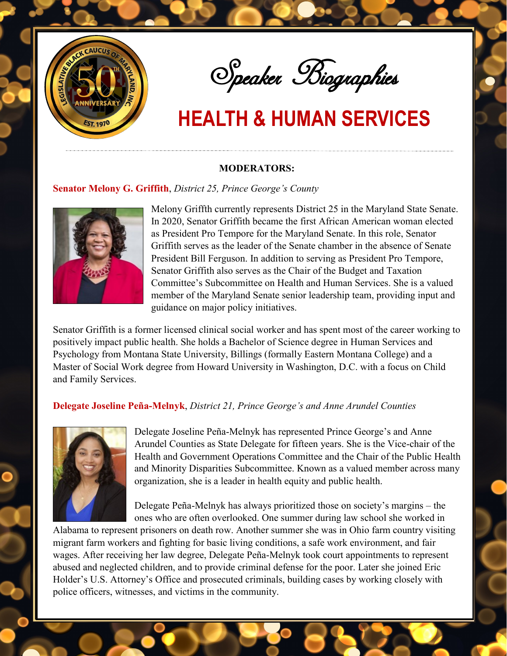

Speaker Biographies

#### **MODERATORS:**

#### **Senator Melony G. Griffith**, *District 25, Prince George's County*



Melony Griffth currently represents District 25 in the Maryland State Senate. In 2020, Senator Griffith became the first African American woman elected as President Pro Tempore for the Maryland Senate. In this role, Senator Griffith serves as the leader of the Senate chamber in the absence of Senate President Bill Ferguson. In addition to serving as President Pro Tempore, Senator Griffith also serves as the Chair of the Budget and Taxation Committee's Subcommittee on Health and Human Services. She is a valued member of the Maryland Senate senior leadership team, providing input and guidance on major policy initiatives.

Senator Griffith is a former licensed clinical social worker and has spent most of the career working to positively impact public health. She holds a Bachelor of Science degree in Human Services and Psychology from Montana State University, Billings (formally Eastern Montana College) and a Master of Social Work degree from Howard University in Washington, D.C. with a focus on Child and Family Services.

### **Delegate Joseline Peña-Melnyk**, *District 21, Prince George's and Anne Arundel Counties*



Delegate Joseline Peña-Melnyk has represented Prince George's and Anne Arundel Counties as State Delegate for fifteen years. She is the Vice-chair of the Health and Government Operations Committee and the Chair of the Public Health and Minority Disparities Subcommittee. Known as a valued member across many organization, she is a leader in health equity and public health.

Delegate Peña-Melnyk has always prioritized those on society's margins – the ones who are often overlooked. One summer during law school she worked in

Alabama to represent prisoners on death row. Another summer she was in Ohio farm country visiting migrant farm workers and fighting for basic living conditions, a safe work environment, and fair wages. After receiving her law degree, Delegate Peña-Melnyk took court appointments to represent abused and neglected children, and to provide criminal defense for the poor. Later she joined Eric Holder's U.S. Attorney's Office and prosecuted criminals, building cases by working closely with police officers, witnesses, and victims in the community.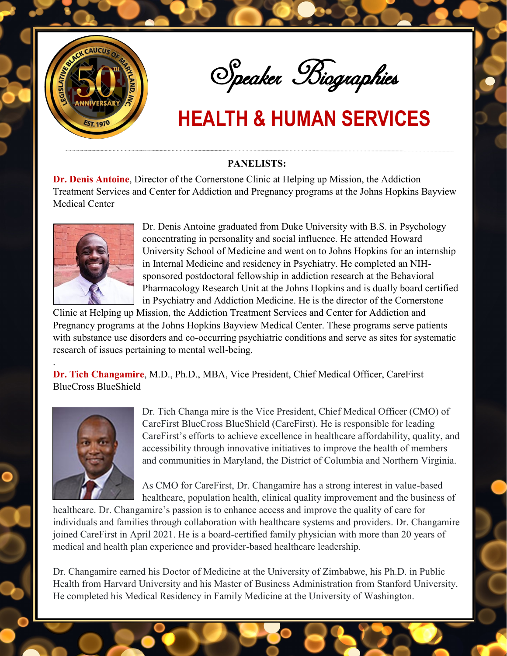

Speaker Biographies

### **PANELISTS:**

**Dr. Denis Antoine**, Director of the Cornerstone Clinic at Helping up Mission, the Addiction Treatment Services and Center for Addiction and Pregnancy programs at the Johns Hopkins Bayview Medical Center



Dr. Denis Antoine graduated from Duke University with B.S. in Psychology concentrating in personality and social influence. He attended Howard University School of Medicine and went on to Johns Hopkins for an internship in Internal Medicine and residency in Psychiatry. He completed an NIHsponsored postdoctoral fellowship in addiction research at the Behavioral Pharmacology Research Unit at the Johns Hopkins and is dually board certified in Psychiatry and Addiction Medicine. He is the director of the Cornerstone

Clinic at Helping up Mission, the Addiction Treatment Services and Center for Addiction and Pregnancy programs at the Johns Hopkins Bayview Medical Center. These programs serve patients with substance use disorders and co-occurring psychiatric conditions and serve as sites for systematic research of issues pertaining to mental well-being.

**Dr. Tich Changamire**, M.D., Ph.D., MBA, Vice President, Chief Medical Officer, CareFirst BlueCross BlueShield



.

Dr. Tich Changa mire is the Vice President, Chief Medical Officer (CMO) of CareFirst BlueCross BlueShield (CareFirst). He is responsible for leading CareFirst's efforts to achieve excellence in healthcare affordability, quality, and accessibility through innovative initiatives to improve the health of members and communities in Maryland, the District of Columbia and Northern Virginia.

As CMO for CareFirst, Dr. Changamire has a strong interest in value-based healthcare, population health, clinical quality improvement and the business of

healthcare. Dr. Changamire's passion is to enhance access and improve the quality of care for individuals and families through collaboration with healthcare systems and providers. Dr. Changamire joined CareFirst in April 2021. He is a board-certified family physician with more than 20 years of medical and health plan experience and provider-based healthcare leadership.

Dr. Changamire earned his Doctor of Medicine at the University of Zimbabwe, his Ph.D. in Public Health from Harvard University and his Master of Business Administration from Stanford University. He completed his Medical Residency in Family Medicine at the University of Washington.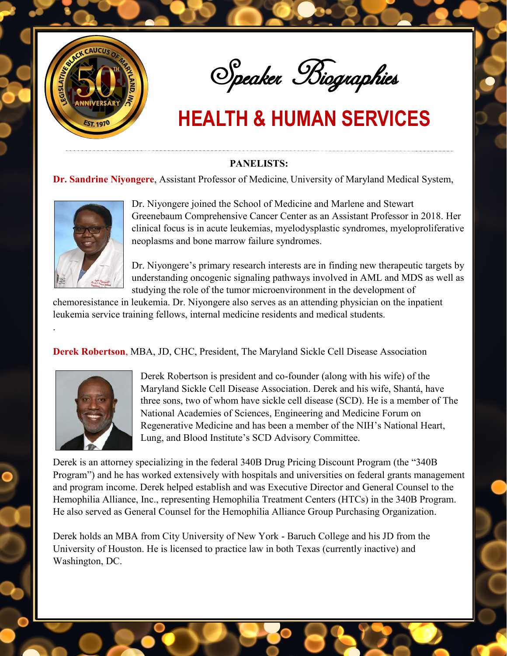

Speaker Biographies

## **PANELISTS:**

### **Dr. Sandrine Niyongere**, Assistant Professor of Medicine, University of Maryland Medical System,



.

Dr. Niyongere joined the School of Medicine and Marlene and Stewart Greenebaum Comprehensive Cancer Center as an Assistant Professor in 2018. Her clinical focus is in acute leukemias, myelodysplastic syndromes, myeloproliferative neoplasms and bone marrow failure syndromes.

Dr. Niyongere's primary research interests are in finding new therapeutic targets by understanding oncogenic signaling pathways involved in AML and MDS as well as studying the role of the tumor microenvironment in the development of

chemoresistance in leukemia. Dr. Niyongere also serves as an attending physician on the inpatient leukemia service training fellows, internal medicine residents and medical students.

**Derek Robertson**, MBA, JD, CHC, President, The Maryland Sickle Cell Disease Association



Derek Robertson is president and co-founder (along with his wife) of the Maryland Sickle Cell Disease Association. Derek and his wife, Shantá, have three sons, two of whom have sickle cell disease (SCD). He is a member of The National Academies of Sciences, Engineering and Medicine Forum on Regenerative Medicine and has been a member of the NIH's National Heart, Lung, and Blood Institute's SCD Advisory Committee.

Derek is an attorney specializing in the federal 340B Drug Pricing Discount Program (the "340B Program") and he has worked extensively with hospitals and universities on federal grants management and program income. Derek helped establish and was Executive Director and General Counsel to the Hemophilia Alliance, Inc., representing Hemophilia Treatment Centers (HTCs) in the 340B Program. He also served as General Counsel for the Hemophilia Alliance Group Purchasing Organization.

Derek holds an MBA from City University of New York - Baruch College and his JD from the University of Houston. He is licensed to practice law in both Texas (currently inactive) and Washington, DC.